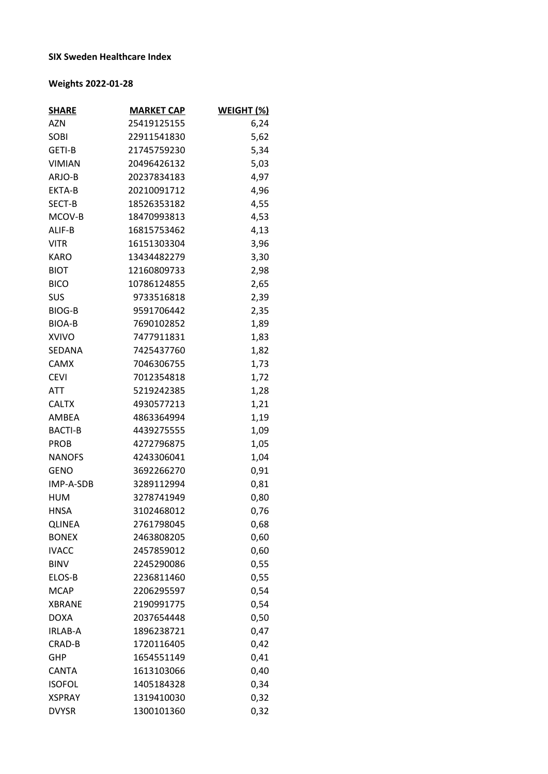## **SIX Sweden Healthcare Index**

## **Weights 2022-01-28**

| <b>SHARE</b>   | <b>MARKET CAP</b> | WEIGHT (%) |
|----------------|-------------------|------------|
| <b>AZN</b>     | 25419125155       | 6,24       |
| SOBI           | 22911541830       | 5,62       |
| GETI-B         | 21745759230       | 5,34       |
| <b>VIMIAN</b>  | 20496426132       | 5,03       |
| ARJO-B         | 20237834183       | 4,97       |
| EKTA-B         | 20210091712       | 4,96       |
| SECT-B         | 18526353182       | 4,55       |
| MCOV-B         | 18470993813       | 4,53       |
| ALIF-B         | 16815753462       | 4,13       |
| <b>VITR</b>    | 16151303304       | 3,96       |
| <b>KARO</b>    | 13434482279       | 3,30       |
| <b>BIOT</b>    | 12160809733       | 2,98       |
| <b>BICO</b>    | 10786124855       | 2,65       |
| <b>SUS</b>     | 9733516818        | 2,39       |
| <b>BIOG-B</b>  | 9591706442        | 2,35       |
| <b>BIOA-B</b>  | 7690102852        | 1,89       |
| <b>XVIVO</b>   | 7477911831        | 1,83       |
| SEDANA         | 7425437760        | 1,82       |
| <b>CAMX</b>    | 7046306755        | 1,73       |
| <b>CEVI</b>    | 7012354818        | 1,72       |
| ATT            | 5219242385        | 1,28       |
| <b>CALTX</b>   | 4930577213        | 1,21       |
| AMBEA          | 4863364994        | 1,19       |
| <b>BACTI-B</b> | 4439275555        | 1,09       |
| <b>PROB</b>    | 4272796875        | 1,05       |
| <b>NANOFS</b>  | 4243306041        | 1,04       |
| <b>GENO</b>    | 3692266270        | 0,91       |
| IMP-A-SDB      | 3289112994        | 0,81       |
| HUM            | 3278741949        | 0,80       |
| <b>HNSA</b>    | 3102468012        | 0,76       |
| <b>QLINEA</b>  | 2761798045        | 0,68       |
| <b>BONEX</b>   | 2463808205        | 0,60       |
| <b>IVACC</b>   | 2457859012        | 0,60       |
| <b>BINV</b>    | 2245290086        | 0,55       |
| ELOS-B         | 2236811460        | 0,55       |
| <b>MCAP</b>    | 2206295597        | 0,54       |
| <b>XBRANE</b>  | 2190991775        | 0,54       |
| <b>DOXA</b>    | 2037654448        | 0,50       |
| <b>IRLAB-A</b> | 1896238721        | 0,47       |
| CRAD-B         | 1720116405        | 0,42       |
| GHP            | 1654551149        | 0,41       |
| <b>CANTA</b>   | 1613103066        | 0,40       |
| <b>ISOFOL</b>  | 1405184328        | 0,34       |
| <b>XSPRAY</b>  | 1319410030        | 0,32       |
| <b>DVYSR</b>   | 1300101360        | 0,32       |
|                |                   |            |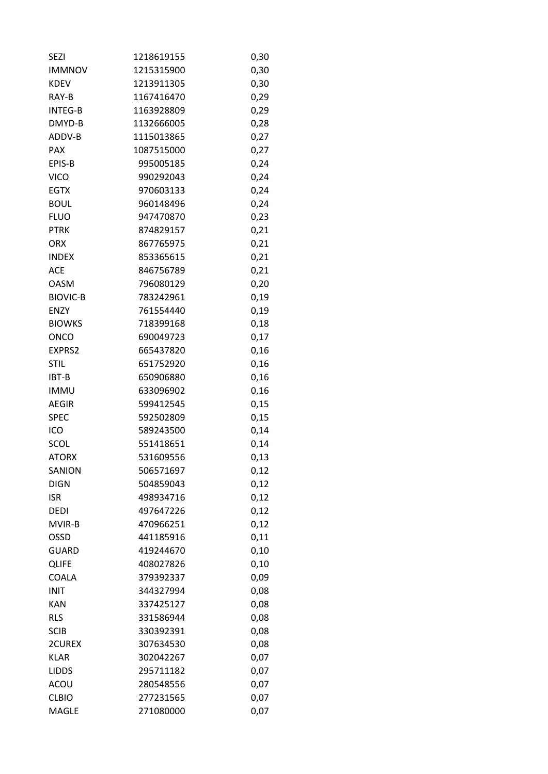| <b>SEZI</b>     | 1218619155 | 0,30 |
|-----------------|------------|------|
| <b>IMMNOV</b>   | 1215315900 | 0,30 |
| <b>KDEV</b>     | 1213911305 | 0,30 |
| RAY-B           | 1167416470 | 0,29 |
| <b>INTEG-B</b>  | 1163928809 | 0,29 |
| DMYD-B          | 1132666005 | 0,28 |
| ADDV-B          | 1115013865 | 0,27 |
| <b>PAX</b>      | 1087515000 | 0,27 |
| EPIS-B          | 995005185  | 0,24 |
| <b>VICO</b>     | 990292043  | 0,24 |
| <b>EGTX</b>     | 970603133  | 0,24 |
| <b>BOUL</b>     | 960148496  | 0,24 |
| <b>FLUO</b>     | 947470870  | 0,23 |
| <b>PTRK</b>     | 874829157  | 0,21 |
| ORX             | 867765975  | 0,21 |
| <b>INDEX</b>    | 853365615  | 0,21 |
| ACE             | 846756789  | 0,21 |
| <b>OASM</b>     | 796080129  | 0,20 |
| <b>BIOVIC-B</b> | 783242961  | 0,19 |
| <b>ENZY</b>     | 761554440  | 0,19 |
| <b>BIOWKS</b>   | 718399168  | 0,18 |
| ONCO            | 690049723  | 0,17 |
| EXPRS2          | 665437820  | 0,16 |
| <b>STIL</b>     | 651752920  | 0,16 |
| IBT-B           | 650906880  | 0,16 |
| <b>IMMU</b>     | 633096902  | 0,16 |
| <b>AEGIR</b>    | 599412545  |      |
| <b>SPEC</b>     | 592502809  | 0,15 |
|                 |            | 0,15 |
| ICO             | 589243500  | 0,14 |
| SCOL            | 551418651  | 0,14 |
| <b>ATORX</b>    | 531609556  | 0,13 |
| SANION          | 506571697  | 0,12 |
| <b>DIGN</b>     | 504859043  | 0,12 |
| <b>ISR</b>      | 498934716  | 0,12 |
| <b>DEDI</b>     | 497647226  | 0,12 |
| MVIR-B          | 470966251  | 0,12 |
| OSSD            | 441185916  | 0,11 |
| <b>GUARD</b>    | 419244670  | 0,10 |
| <b>QLIFE</b>    | 408027826  | 0,10 |
| COALA           | 379392337  | 0,09 |
| <b>INIT</b>     | 344327994  | 0,08 |
| <b>KAN</b>      | 337425127  | 0,08 |
| <b>RLS</b>      | 331586944  | 0,08 |
| <b>SCIB</b>     | 330392391  | 0,08 |
| 2CUREX          | 307634530  | 0,08 |
| <b>KLAR</b>     | 302042267  | 0,07 |
| <b>LIDDS</b>    | 295711182  | 0,07 |
| ACOU            | 280548556  | 0,07 |
| <b>CLBIO</b>    | 277231565  | 0,07 |
| MAGLE           | 271080000  | 0,07 |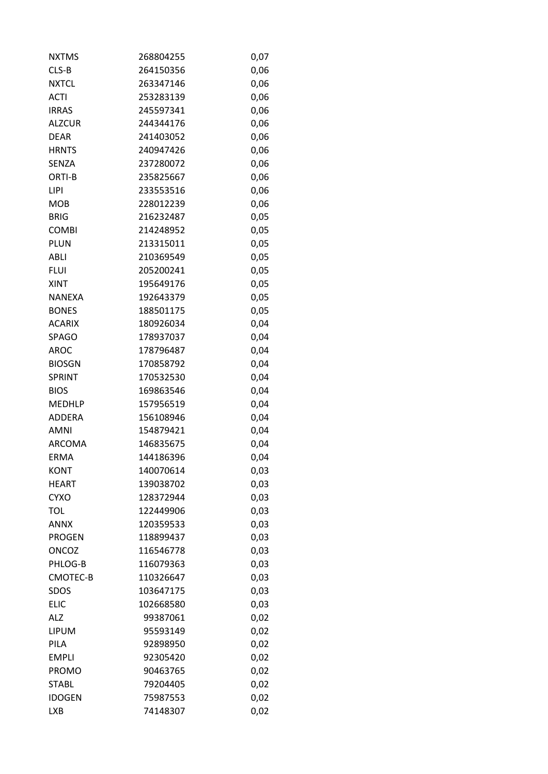| <b>NXTMS</b>  | 268804255 | 0,07 |
|---------------|-----------|------|
| CLS-B         | 264150356 | 0,06 |
| <b>NXTCL</b>  | 263347146 | 0,06 |
| <b>ACTI</b>   | 253283139 | 0,06 |
| <b>IRRAS</b>  | 245597341 | 0,06 |
| <b>ALZCUR</b> | 244344176 | 0,06 |
| <b>DEAR</b>   | 241403052 | 0,06 |
| <b>HRNTS</b>  | 240947426 | 0,06 |
| <b>SENZA</b>  | 237280072 | 0,06 |
| ORTI-B        | 235825667 | 0,06 |
| LIPI          | 233553516 | 0,06 |
| <b>MOB</b>    | 228012239 | 0,06 |
| <b>BRIG</b>   | 216232487 | 0,05 |
| <b>COMBI</b>  | 214248952 | 0,05 |
| <b>PLUN</b>   | 213315011 | 0,05 |
| ABLI          | 210369549 | 0,05 |
| <b>FLUI</b>   | 205200241 | 0,05 |
| <b>XINT</b>   | 195649176 | 0,05 |
| <b>NANEXA</b> | 192643379 | 0,05 |
| <b>BONES</b>  | 188501175 | 0,05 |
| <b>ACARIX</b> | 180926034 | 0,04 |
| <b>SPAGO</b>  | 178937037 | 0,04 |
| <b>AROC</b>   | 178796487 | 0,04 |
| <b>BIOSGN</b> | 170858792 | 0,04 |
| <b>SPRINT</b> | 170532530 | 0,04 |
| <b>BIOS</b>   | 169863546 | 0,04 |
| <b>MEDHLP</b> | 157956519 | 0,04 |
| <b>ADDERA</b> | 156108946 | 0,04 |
| AMNI          | 154879421 | 0,04 |
| <b>ARCOMA</b> | 146835675 | 0,04 |
| <b>ERMA</b>   | 144186396 | 0,04 |
| <b>KONT</b>   | 140070614 | 0,03 |
| <b>HEART</b>  | 139038702 | 0,03 |
| <b>CYXO</b>   | 128372944 | 0,03 |
| <b>TOL</b>    | 122449906 | 0,03 |
| <b>ANNX</b>   | 120359533 | 0,03 |
| <b>PROGEN</b> | 118899437 | 0,03 |
| <b>ONCOZ</b>  | 116546778 | 0,03 |
| PHLOG-B       | 116079363 | 0,03 |
| CMOTEC-B      | 110326647 | 0,03 |
| <b>SDOS</b>   | 103647175 | 0,03 |
| <b>ELIC</b>   | 102668580 | 0,03 |
| <b>ALZ</b>    | 99387061  | 0,02 |
| <b>LIPUM</b>  | 95593149  | 0,02 |
| PILA          | 92898950  | 0,02 |
| <b>EMPLI</b>  | 92305420  | 0,02 |
| <b>PROMO</b>  | 90463765  | 0,02 |
| <b>STABL</b>  | 79204405  | 0,02 |
| <b>IDOGEN</b> | 75987553  | 0,02 |
| <b>LXB</b>    | 74148307  | 0,02 |
|               |           |      |